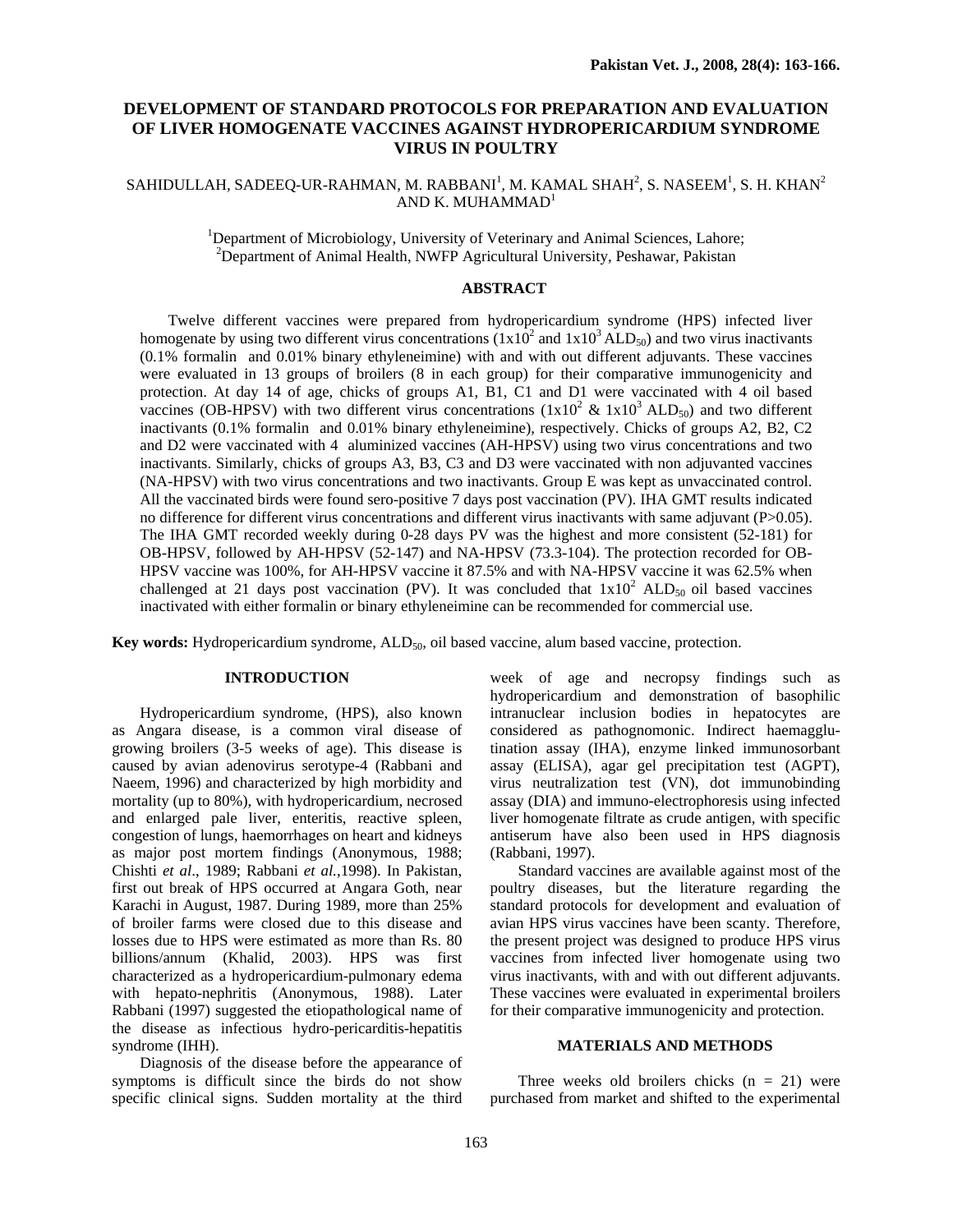# **DEVELOPMENT OF STANDARD PROTOCOLS FOR PREPARATION AND EVALUATION OF LIVER HOMOGENATE VACCINES AGAINST HYDROPERICARDIUM SYNDROME VIRUS IN POULTRY**

# SAHIDULLAH, SADEEQ-UR-RAHMAN, M. RABBANI<sup>1</sup>, M. KAMAL SHAH<sup>2</sup>, S. NASEEM<sup>1</sup>, S. H. KHAN<sup>2</sup> AND K. MUHAMMAD $<sup>1</sup>$ </sup>

<sup>1</sup>Department of Microbiology, University of Veterinary and Animal Sciences, Lahore; <sup>2</sup>Department of Animal Health, NWFP Agricultural University, Peshawar, Pakistan

### **ABSTRACT**

Twelve different vaccines were prepared from hydropericardium syndrome (HPS) infected liver homogenate by using two different virus concentrations  $(1x10^2 \text{ and } 1x10^3 \text{ ALD}_{50})$  and two virus inactivants (0.1% formalin and 0.01% binary ethyleneimine) with and with out different adjuvants. These vaccines were evaluated in 13 groups of broilers (8 in each group) for their comparative immunogenicity and protection. At day 14 of age, chicks of groups A1, B1, C1 and D1 were vaccinated with 4 oil based vaccines (OB-HPSV) with two different virus concentrations  $(1x10^2 \& 1x10^3 ALD_{50})$  and two different inactivants (0.1% formalin and 0.01% binary ethyleneimine), respectively. Chicks of groups A2, B2, C2 and D2 were vaccinated with 4 aluminized vaccines (AH-HPSV) using two virus concentrations and two inactivants. Similarly, chicks of groups A3, B3, C3 and D3 were vaccinated with non adjuvanted vaccines (NA-HPSV) with two virus concentrations and two inactivants. Group E was kept as unvaccinated control. All the vaccinated birds were found sero-positive 7 days post vaccination (PV). IHA GMT results indicated no difference for different virus concentrations and different virus inactivants with same adjuvant (P>0.05). The IHA GMT recorded weekly during 0-28 days PV was the highest and more consistent (52-181) for OB-HPSV, followed by AH-HPSV (52-147) and NA-HPSV (73.3-104). The protection recorded for OB-HPSV vaccine was 100%, for AH-HPSV vaccine it 87.5% and with NA-HPSV vaccine it was 62.5% when challenged at 21 days post vaccination (PV). It was concluded that  $1x10^2$  ALD<sub>50</sub> oil based vaccines inactivated with either formalin or binary ethyleneimine can be recommended for commercial use.

**Key words:** Hydropericardium syndrome, ALD<sub>50</sub>, oil based vaccine, alum based vaccine, protection.

### **INTRODUCTION**

Hydropericardium syndrome, (HPS), also known as Angara disease, is a common viral disease of growing broilers (3-5 weeks of age). This disease is caused by avian adenovirus serotype-4 (Rabbani and Naeem, 1996) and characterized by high morbidity and mortality (up to 80%), with hydropericardium, necrosed and enlarged pale liver, enteritis, reactive spleen, congestion of lungs, haemorrhages on heart and kidneys as major post mortem findings (Anonymous, 1988; Chishti *et al*., 1989; Rabbani *et al.*,1998). In Pakistan, first out break of HPS occurred at Angara Goth, near Karachi in August, 1987. During 1989, more than 25% of broiler farms were closed due to this disease and losses due to HPS were estimated as more than Rs. 80 billions/annum (Khalid, 2003). HPS was first characterized as a hydropericardium-pulmonary edema with hepato-nephritis (Anonymous, 1988). Later Rabbani (1997) suggested the etiopathological name of the disease as infectious hydro-pericarditis-hepatitis syndrome (IHH).

Diagnosis of the disease before the appearance of symptoms is difficult since the birds do not show specific clinical signs. Sudden mortality at the third week of age and necropsy findings such as hydropericardium and demonstration of basophilic intranuclear inclusion bodies in hepatocytes are considered as pathognomonic. Indirect haemagglutination assay (IHA), enzyme linked immunosorbant assay (ELISA), agar gel precipitation test (AGPT), virus neutralization test (VN), dot immunobinding assay (DIA) and immuno-electrophoresis using infected liver homogenate filtrate as crude antigen, with specific antiserum have also been used in HPS diagnosis (Rabbani, 1997).

Standard vaccines are available against most of the poultry diseases, but the literature regarding the standard protocols for development and evaluation of avian HPS virus vaccines have been scanty. Therefore, the present project was designed to produce HPS virus vaccines from infected liver homogenate using two virus inactivants, with and with out different adjuvants. These vaccines were evaluated in experimental broilers for their comparative immunogenicity and protection.

### **MATERIALS AND METHODS**

Three weeks old broilers chicks  $(n = 21)$  were purchased from market and shifted to the experimental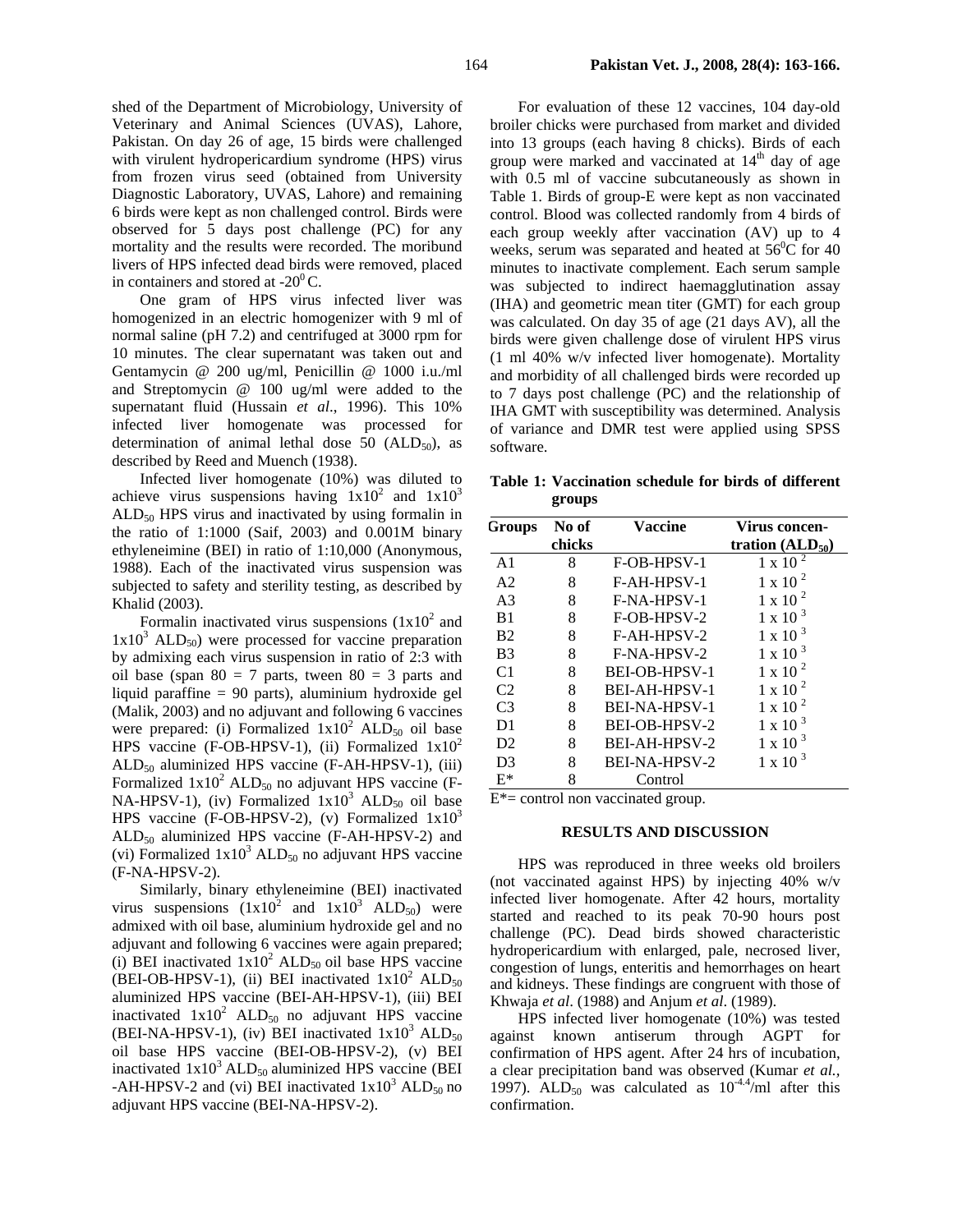shed of the Department of Microbiology, University of Veterinary and Animal Sciences (UVAS), Lahore, Pakistan. On day 26 of age, 15 birds were challenged with virulent hydropericardium syndrome (HPS) virus from frozen virus seed (obtained from University Diagnostic Laboratory, UVAS, Lahore) and remaining 6 birds were kept as non challenged control. Birds were observed for 5 days post challenge (PC) for any mortality and the results were recorded. The moribund

livers of HPS infected dead birds were removed, placed in containers and stored at  $-20^{\circ}$ C. One gram of HPS virus infected liver was homogenized in an electric homogenizer with 9 ml of normal saline (pH 7.2) and centrifuged at 3000 rpm for 10 minutes. The clear supernatant was taken out and Gentamycin @ 200 ug/ml, Penicillin @ 1000 i.u./ml and Streptomycin @ 100 ug/ml were added to the supernatant fluid (Hussain *et al*., 1996). This 10% infected liver homogenate was processed for determination of animal lethal dose 50 ( $ALD_{50}$ ), as described by Reed and Muench (1938).

Infected liver homogenate (10%) was diluted to achieve virus suspensions having  $1x10^2$  and  $1x10^3$  $ALD<sub>50</sub> HPS$  virus and inactivated by using formalin in the ratio of 1:1000 (Saif, 2003) and 0.001M binary ethyleneimine (BEI) in ratio of 1:10,000 (Anonymous, 1988). Each of the inactivated virus suspension was subjected to safety and sterility testing, as described by Khalid (2003).

Formalin inactivated virus suspensions  $(1x10^2$  and  $1x10<sup>3</sup>$  ALD<sub>50</sub>) were processed for vaccine preparation by admixing each virus suspension in ratio of 2:3 with oil base (span  $80 = 7$  parts, tween  $80 = 3$  parts and liquid paraffine = 90 parts), aluminium hydroxide gel (Malik, 2003) and no adjuvant and following 6 vaccines were prepared: (i) Formalized  $1x10^2$  ALD<sub>50</sub> oil base HPS vaccine (F-OB-HPSV-1), (ii) Formalized  $1x10^2$  $ALD<sub>50</sub>$  aluminized HPS vaccine (F-AH-HPSV-1), (iii) Formalized  $1x10^2$  ALD<sub>50</sub> no adjuvant HPS vaccine (F-NA-HPSV-1), (iv) Formalized  $1x10^3$  ALD<sub>50</sub> oil base HPS vaccine (F-OB-HPSV-2), (v) Formalized  $1x10<sup>3</sup>$  $ALD<sub>50</sub>$  aluminized HPS vaccine (F-AH-HPSV-2) and (vi) Formalized  $1x10^3$  ALD<sub>50</sub> no adjuvant HPS vaccine (F-NA-HPSV-2).

Similarly, binary ethyleneimine (BEI) inactivated virus suspensions  $(1x10^2 \text{ and } 1x10^3 \text{ ALD}_{50})$  were admixed with oil base, aluminium hydroxide gel and no adjuvant and following 6 vaccines were again prepared; (i) BEI inactivated  $1x10^2$  ALD<sub>50</sub> oil base HPS vaccine (BEI-OB-HPSV-1), (ii) BEI inactivated  $1x10^2$  ALD<sub>50</sub> aluminized HPS vaccine (BEI-AH-HPSV-1), (iii) BEI inactivated  $1x10^2$  ALD<sub>50</sub> no adjuvant HPS vaccine (BEI-NA-HPSV-1), (iv) BEI inactivated  $1x10^3$  ALD<sub>50</sub> oil base HPS vaccine (BEI-OB-HPSV-2), (v) BEI inactivated  $1x10^3$  ALD<sub>50</sub> aluminized HPS vaccine (BEI -AH-HPSV-2 and (vi) BEI inactivated  $1x10^3$  ALD<sub>50</sub> no adjuvant HPS vaccine (BEI-NA-HPSV-2).

For evaluation of these 12 vaccines, 104 day-old broiler chicks were purchased from market and divided into 13 groups (each having 8 chicks). Birds of each group were marked and vaccinated at  $14<sup>th</sup>$  day of age with 0.5 ml of vaccine subcutaneously as shown in Table 1. Birds of group-E were kept as non vaccinated control. Blood was collected randomly from 4 birds of each group weekly after vaccination (AV) up to 4 weeks, serum was separated and heated at  $56^{\circ}$ C for 40 minutes to inactivate complement. Each serum sample was subjected to indirect haemagglutination assay (IHA) and geometric mean titer (GMT) for each group was calculated. On day 35 of age (21 days AV), all the birds were given challenge dose of virulent HPS virus (1 ml 40% w/v infected liver homogenate). Mortality and morbidity of all challenged birds were recorded up to 7 days post challenge (PC) and the relationship of IHA GMT with susceptibility was determined. Analysis of variance and DMR test were applied using SPSS software.

**Table 1: Vaccination schedule for birds of different groups**

| Groups         | No of<br>chicks | Vaccine              | Virus concen-<br>tration $(ALD_{50})$ |  |  |  |  |
|----------------|-----------------|----------------------|---------------------------------------|--|--|--|--|
| A <sub>1</sub> | 8               | F-OB-HPSV-1          | $1 \times 10^{-2}$                    |  |  |  |  |
| A <sub>2</sub> | 8               | F-AH-HPSV-1          | $1 \times 10^{-2}$                    |  |  |  |  |
| A <sub>3</sub> | 8               | F-NA-HPSV-1          | $1 \times 10^{-2}$                    |  |  |  |  |
| B1             | 8               | F-OB-HPSV-2          | $1 \times 10^{-3}$                    |  |  |  |  |
| <b>B2</b>      | 8               | F-AH-HPSV-2          | $1 \times 10^{-3}$                    |  |  |  |  |
| B <sub>3</sub> | 8               | F-NA-HPSV-2          | $1 \times 10^{-3}$                    |  |  |  |  |
| C <sub>1</sub> | 8               | BEI-OB-HPSV-1        | $1 \times 10^{-2}$                    |  |  |  |  |
| C <sub>2</sub> | 8               | <b>BEI-AH-HPSV-1</b> | $1 \times 10^{-2}$                    |  |  |  |  |
| C <sub>3</sub> | 8               | <b>BEI-NA-HPSV-1</b> | $1 \times 10^{-2}$                    |  |  |  |  |
| D1             | 8               | BEI-OB-HPSV-2        | $1 \times 10^{-3}$                    |  |  |  |  |
| D <sub>2</sub> | 8               | BEI-AH-HPSV-2        | $1 \times 10^{-3}$                    |  |  |  |  |
| D <sub>3</sub> | 8               | BEI-NA-HPSV-2        | $1 \times 10$                         |  |  |  |  |
| $E^*$          | 8               | Control              |                                       |  |  |  |  |

 $E^*$  = control non vaccinated group.

#### **RESULTS AND DISCUSSION**

HPS was reproduced in three weeks old broilers (not vaccinated against HPS) by injecting 40% w/v infected liver homogenate. After 42 hours, mortality started and reached to its peak 70-90 hours post challenge (PC). Dead birds showed characteristic hydropericardium with enlarged, pale, necrosed liver, congestion of lungs, enteritis and hemorrhages on heart and kidneys. These findings are congruent with those of Khwaja *et al*. (1988) and Anjum *et al*. (1989).

HPS infected liver homogenate (10%) was tested against known antiserum through AGPT for confirmation of HPS agent. After 24 hrs of incubation, a clear precipitation band was observed (Kumar *et al.,* 1997).  $\widehat{ALD}_{50}$  was calculated as  $10^{-4.4}/ml$  after this confirmation.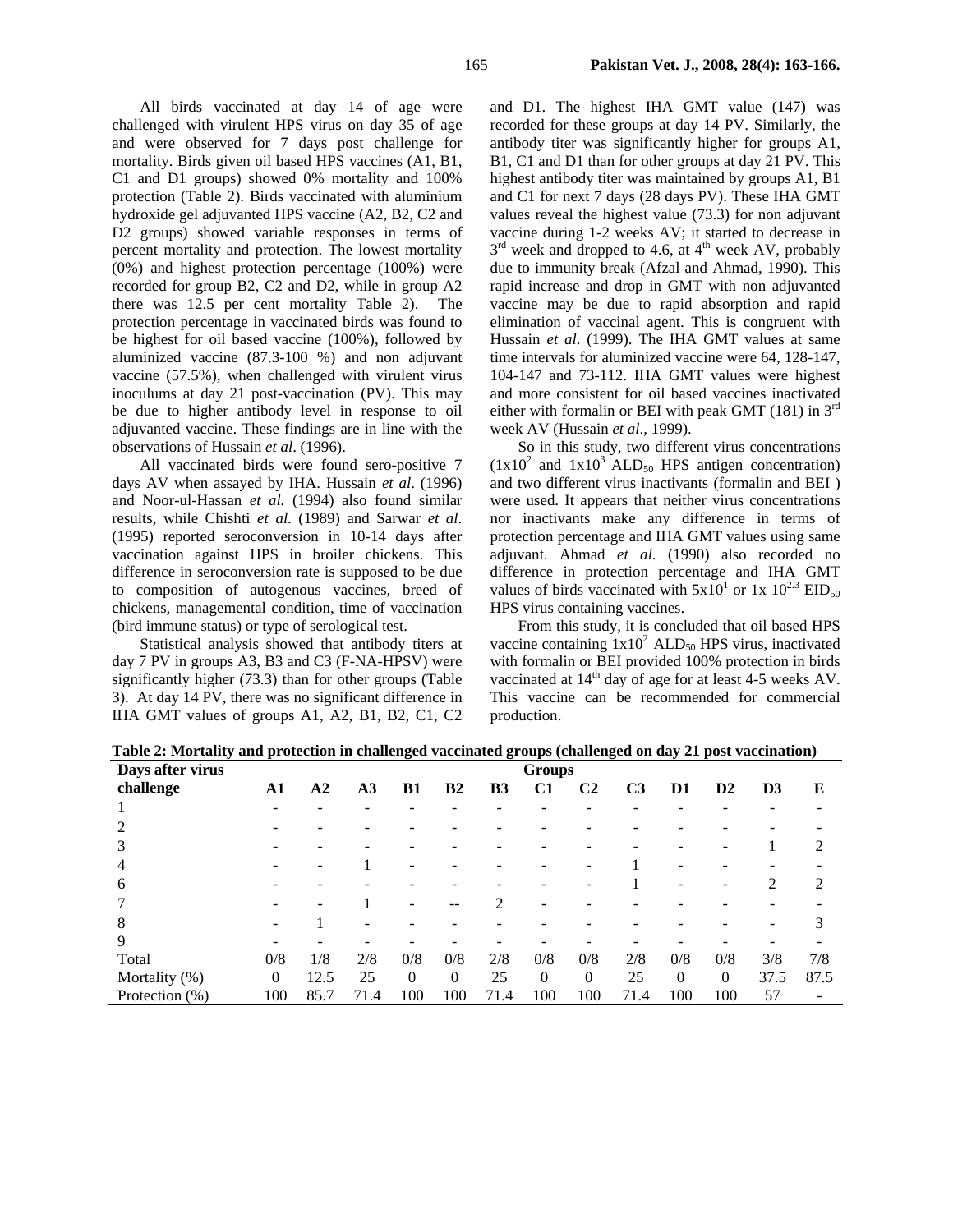All birds vaccinated at day 14 of age were challenged with virulent HPS virus on day 35 of age and were observed for 7 days post challenge for mortality. Birds given oil based HPS vaccines (A1, B1, C1 and D1 groups) showed 0% mortality and 100% protection (Table 2). Birds vaccinated with aluminium hydroxide gel adjuvanted HPS vaccine (A2, B2, C2 and D2 groups) showed variable responses in terms of percent mortality and protection. The lowest mortality (0%) and highest protection percentage (100%) were recorded for group B2, C2 and D2, while in group A2 there was 12.5 per cent mortality Table 2). The protection percentage in vaccinated birds was found to be highest for oil based vaccine (100%), followed by aluminized vaccine (87.3-100 %) and non adjuvant vaccine (57.5%), when challenged with virulent virus inoculums at day 21 post-vaccination (PV). This may be due to higher antibody level in response to oil adjuvanted vaccine. These findings are in line with the observations of Hussain *et al*. (1996).

All vaccinated birds were found sero-positive 7 days AV when assayed by IHA. Hussain *et al*. (1996) and Noor-ul-Hassan *et al.* (1994) also found similar results, while Chishti *et al*. (1989) and Sarwar *et al*. (1995) reported seroconversion in 10-14 days after vaccination against HPS in broiler chickens. This difference in seroconversion rate is supposed to be due to composition of autogenous vaccines, breed of chickens, managemental condition, time of vaccination (bird immune status) or type of serological test.

Statistical analysis showed that antibody titers at day 7 PV in groups A3, B3 and C3 (F-NA-HPSV) were significantly higher (73.3) than for other groups (Table 3). At day 14 PV, there was no significant difference in IHA GMT values of groups A1, A2, B1, B2, C1, C2 and D1. The highest IHA GMT value (147) was recorded for these groups at day 14 PV. Similarly, the antibody titer was significantly higher for groups A1, B1, C1 and D1 than for other groups at day 21 PV. This highest antibody titer was maintained by groups A1, B1 and C1 for next 7 days (28 days PV). These IHA GMT values reveal the highest value (73.3) for non adjuvant vaccine during 1-2 weeks AV; it started to decrease in  $3<sup>rd</sup>$  week and dropped to 4.6, at 4<sup>th</sup> week AV, probably due to immunity break (Afzal and Ahmad, 1990). This rapid increase and drop in GMT with non adjuvanted vaccine may be due to rapid absorption and rapid elimination of vaccinal agent. This is congruent with Hussain *et al*. (1999). The IHA GMT values at same time intervals for aluminized vaccine were 64, 128-147, 104-147 and 73-112. IHA GMT values were highest and more consistent for oil based vaccines inactivated either with formalin or BEI with peak GMT (181) in  $3<sup>rd</sup>$ week AV (Hussain *et al*., 1999).

So in this study, two different virus concentrations  $(1x10^2 \text{ and } 1x10^3 \text{ ALD}_{50} \text{ HPS} \text{ antigen concentration})$ and two different virus inactivants (formalin and BEI ) were used. It appears that neither virus concentrations nor inactivants make any difference in terms of protection percentage and IHA GMT values using same adjuvant. Ahmad *et al*. (1990) also recorded no difference in protection percentage and IHA GMT values of birds vaccinated with  $5x10^1$  or 1x  $10^{2.3}$  EID<sub>50</sub> HPS virus containing vaccines.

From this study, it is concluded that oil based HPS vaccine containing  $1x10^2$  ALD<sub>50</sub> HPS virus, inactivated with formalin or BEI provided 100% protection in birds vaccinated at  $14<sup>th</sup>$  day of age for at least 4-5 weeks AV. This vaccine can be recommended for commercial production.

| Days after virus | <b>Groups</b> |           |                |          |                |                |          |                |                |          |                |                |      |
|------------------|---------------|-----------|----------------|----------|----------------|----------------|----------|----------------|----------------|----------|----------------|----------------|------|
| challenge        | A1            | $\bf{A2}$ | A <sub>3</sub> | B1       | B <sub>2</sub> | B <sub>3</sub> | C1       | C <sub>2</sub> | C <sub>3</sub> | D1       | D <sub>2</sub> | D <sub>3</sub> | E    |
|                  |               |           |                |          |                |                |          |                |                |          |                |                |      |
|                  |               |           |                |          |                |                |          |                |                |          |                |                |      |
| 3                |               |           |                |          |                |                |          |                |                |          |                |                | 2    |
| 4                |               |           |                |          |                |                |          |                |                |          |                |                |      |
| 6                |               |           |                |          |                |                |          |                |                |          |                | ◠              | 2    |
|                  |               |           |                |          |                |                |          |                |                |          |                |                |      |
| 8                |               |           |                |          |                |                |          |                |                |          |                |                |      |
| 9                |               |           |                |          |                |                |          |                |                |          |                |                |      |
| Total            | 0/8           | 1/8       | 2/8            | 0/8      | 0/8            | 2/8            | 0/8      | 0/8            | 2/8            | 0/8      | 0/8            | 3/8            | 7/8  |
| Mortality (%)    | $\Omega$      | 12.5      | 25             | $\Omega$ | $\Omega$       | 25             | $\Omega$ | $\Omega$       | 25             | $\Omega$ | $\Omega$       | 37.5           | 87.5 |
| Protection (%)   | 100           | 85.7      | 71.4           | 100      | 100            | 71.4           | 100      | 100            | 71.4           | 100      | 100            | 57             | -    |

**Table 2: Mortality and protection in challenged vaccinated groups (challenged on day 21 post vaccination)**